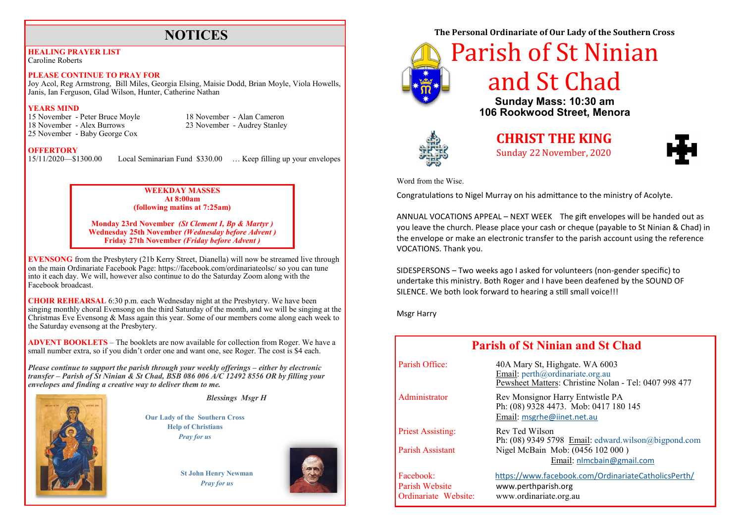## **NOTICES**

#### **HEALING PRAYER LIST**

Caroline Roberts

#### **PLEASE CONTINUE TO PRAY FOR**

Joy Acol, Reg Armstrong, Bill Miles, Georgia Elsing, Maisie Dodd, Brian Moyle, Viola Howells, Janis, Ian Ferguson, Glad Wilson, Hunter, Catherine Nathan

#### **YEARS MIND**

- 15 November Peter Bruce Moyle<br>
18 November Alex Burrows<br>
23 November Audrey Stanley
- 25 November Baby George Cox

**OFFERTORY**<br>15/11/2020—\$1300.00 Local Seminarian Fund \$330.00 … Keep filling up your envelopes

23 November - Audrey Stanley

**WEEKDAY MASSES At 8:00am (following matins at 7:25am)**

**Monday 23rd November** *(St Clement I, Bp & Martyr )* **Wednesday 25th November** *(Wednesday before Advent )* **Friday 27th November** *(Friday before Advent )*

**EVENSONG** from the Presbytery (21b Kerry Street, Dianella) will now be streamed live through on the main Ordinariate Facebook Page: https://facebook.com/ordinariateolsc/ so you can tune into it each day. We will, however also continue to do the Saturday Zoom along with the Facebook broadcast.

**CHOIR REHEARSAL** 6:30 p.m. each Wednesday night at the Presbytery. We have been singing monthly choral Evensong on the third Saturday of the month, and we will be singing at the Christmas Eve Evensong & Mass again this year. Some of our members come along each week to the Saturday evensong at the Presbytery.

**ADVENT BOOKLETS** – The booklets are now available for collection from Roger. We have a small number extra, so if you didn't order one and want one, see Roger. The cost is \$4 each.

*Please continue to support the parish through your weekly offerings – either by electronic transfer – Parish of St Ninian & St Chad, BSB 086 006 A/C 12492 8556 OR by filling your envelopes and finding a creative way to deliver them to me.* 



 *Blessings Msgr H*

**Our Lady of the Southern Cross Help of Christians** *Pray for us*

> **St John Henry Newman** *Pray for us*



**The Personal Ordinariate of Our Lady of the Southern Cross**



# and St Chad

**Sunday Mass: 10:30 am 106 Rookwood Street, Menora**



**CHRIST THE KING** Sunday 22 November, 2020



Word from the Wise.

Congratulations to Nigel Murray on his admittance to the ministry of Acolyte.

ANNUAL VOCATIONS APPEAL – NEXT WEEK The gift envelopes will be handed out as you leave the church. Please place your cash or cheque (payable to St Ninian & Chad) in the envelope or make an electronic transfer to the parish account using the reference VOCATIONS. Thank you.

SIDESPERSONS – Two weeks ago I asked for volunteers (non-gender specific) to undertake this ministry. Both Roger and I have been deafened by the SOUND OF SILENCE. We both look forward to hearing a still small voice!!!

Msgr Harry

| <b>Parish of St Ninian and St Chad</b> |                                                                                                                            |
|----------------------------------------|----------------------------------------------------------------------------------------------------------------------------|
| Parish Office:                         | 40A Mary St, Highgate. WA 6003<br>Email: perth@ordinariate.org.au<br>Pewsheet Matters: Christine Nolan - Tel: 0407 998 477 |
| Administrator                          | Rev Monsignor Harry Entwistle PA<br>Ph: (08) 9328 4473. Mob: 0417 180 145<br>Email: msgrhe@iinet.net.au                    |
| <b>Priest Assisting:</b>               | Rev Ted Wilson<br>Ph: $(08)$ 9349 5798 Email: edward.wilson@bigpond.com                                                    |
| Parish Assistant                       | Nigel McBain Mob: (0456 102 000)<br>Email: nlmcbain@gmail.com                                                              |
| Facebook:                              | https://www.facebook.com/OrdinariateCatholicsPerth/                                                                        |
| Parish Website                         | www.perthparish.org                                                                                                        |
| Ordinariate Website:                   | www.ordinariate.org.au                                                                                                     |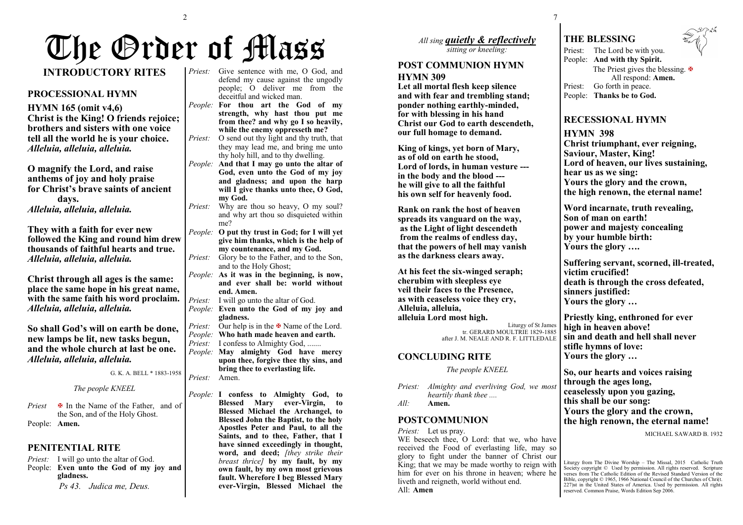# The Order of Mass

### **INTRODUCTORY RITES**

#### **PROCESSIONAL HYMN**

**HYMN 165 (omit v4,6) Christ is the King! O friends rejoice; brothers and sisters with one voice tell all the world he is your choice.** *Alleluia, alleluia, alleluia.*

**O magnify the Lord, and raise anthems of joy and holy praise for Christ's brave saints of ancient days.** *Alleluia, alleluia, alleluia.*

**They with a faith for ever new followed the King and round him drew thousands of faithful hearts and true.** *Alleluia, alleluia, alleluia.*

**Christ through all ages is the same: place the same hope in his great name, with the same faith his word proclaim.** *Alleluia, alleluia, alleluia.*

**So shall God's will on earth be done, new lamps be lit, new tasks begun, and the whole church at last be one.** *Alleluia, alleluia, alleluia.*

G. K. A. BELL \* 1883-1958

*The people KNEEL*

*Priest*  $\oplus$  In the Name of the Father, and of the Son, and of the Holy Ghost. People: **Amen.**

#### **PENITENTIAL RITE**

*Priest:* I will go unto the altar of God. People: **Even unto the God of my joy and gladness.** *Ps 43. Judica me, Deus.*

*Priest:* Give sentence with me, O God, and defend my cause against the ungodly people; O deliver me from the deceitful and wicked man.

*People:* **For thou art the God of my strength, why hast thou put me from thee? and why go I so heavily, while the enemy oppresseth me?**

*Priest:* O send out thy light and thy truth, that they may lead me, and bring me unto thy holy hill, and to thy dwelling.

*People:* **And that I may go unto the altar of God, even unto the God of my joy and gladness; and upon the harp will I give thanks unto thee, O God, my God.**

*Priest:* Why are thou so heavy, O my soul? and why art thou so disquieted within me?

*People:* **O put thy trust in God; for I will yet give him thanks, which is the help of my countenance, and my God.**

*Priest:* Glory be to the Father, and to the Son, and to the Holy Ghost;

*People:* **As it was in the beginning, is now, and ever shall be: world without end. Amen.**

*Priest:* I will go unto the altar of God.

*People:* **Even unto the God of my joy and gladness.**

*Priest:* Our help is in the  $\overline{\mathbf{A}}$  Name of the Lord. *People:* **Who hath made heaven and earth.**

*Priest:* I confess to Almighty God, .......

*People:* **May almighty God have mercy upon thee, forgive thee thy sins, and bring thee to everlasting life.** *Priest:* Amen.

*People:* **I confess to Almighty God, to Blessed Mary ever-Virgin, to Blessed Michael the Archangel, to Blessed John the Baptist, to the holy Apostles Peter and Paul, to all the Saints, and to thee, Father, that I have sinned exceedingly in thought, word, and deed;** *[they strike their breast thrice]* **by my fault, by my own fault, by my own most grievous fault. Wherefore I beg Blessed Mary ever-Virgin, Blessed Michael the**  *All sing quietly & reflectively sitting or kneeling:*

#### **POST COMMUNION HYMN HYMN 309**

**Let all mortal flesh keep silence and with fear and trembling stand; ponder nothing earthly-minded, for with blessing in his hand Christ our God to earth descendeth, our full homage to demand.**

**King of kings, yet born of Mary, as of old on earth he stood, Lord of lords, in human vesture -- in the body and the blood -- he will give to all the faithful his own self for heavenly food.**

**Rank on rank the host of heaven spreads its vanguard on the way, as the Light of light descendeth from the realms of endless day, that the powers of hell may vanish as the darkness clears away.**

**At his feet the six-winged seraph; cherubim with sleepless eye veil their faces to the Presence, as with ceaseless voice they cry, Alleluia, alleluia, alleluia Lord most high.**

Liturgy of St James tr. GERARD MOULTRIE 1829-1885 after J. M. NEALE AND R. F. LITTLEDALE

#### **CONCLUDING RITE**

*The people KNEEL*

*Priest: Almighty and everliving God, we most heartily thank thee ....*

*All:* **Amen.**

#### **POSTCOMMUNION**

*Priest:* Let us pray. WE beseech thee, O Lord: that we, who have received the Food of everlasting life, may so glory to fight under the banner of Christ our King; that we may be made worthy to reign with him for ever on his throne in heaven; where he liveth and reigneth, world without end. All: **Amen**

**THE BLESSING**

7

Priest: The Lord be with you. People: **And with thy Spirit.** The Priest gives the blessing.  $\mathbb{F}$ All respond: **Amen.** Priest: Go forth in peace. People: **Thanks be to God.**

### **RECESSIONAL HYMN**

**HYMN 398**

**Christ triumphant, ever reigning, Saviour, Master, King! Lord of heaven, our lives sustaining, hear us as we sing: Yours the glory and the crown, the high renown, the eternal name!**

**Word incarnate, truth revealing, Son of man on earth! power and majesty concealing by your humble birth: Yours the glory ….**

**Suffering servant, scorned, ill-treated, victim crucified! death is through the cross defeated, sinners justified: Yours the glory …**

**Priestly king, enthroned for ever high in heaven above! sin and death and hell shall never stifle hymns of love: Yours the glory …**

**So, our hearts and voices raising through the ages long, ceaselessly upon you gazing, this shall be our song: Yours the glory and the crown, the high renown, the eternal name!**

MICHAEL SAWARD B. 1932

Liturgy from The Divine Worship – The Missal, 2015 Catholic Truth Society copyright © Used by permission. All rights reserved. Scripture verses from The Catholic Edition of the Revised Standard Version of the Bible, copyright © 1965, 1966 National Council of the Churches of Chri(t. 227)st in the United States of America. Used by permission. All rights reserved. Common Praise, Words Edition Sep 2006.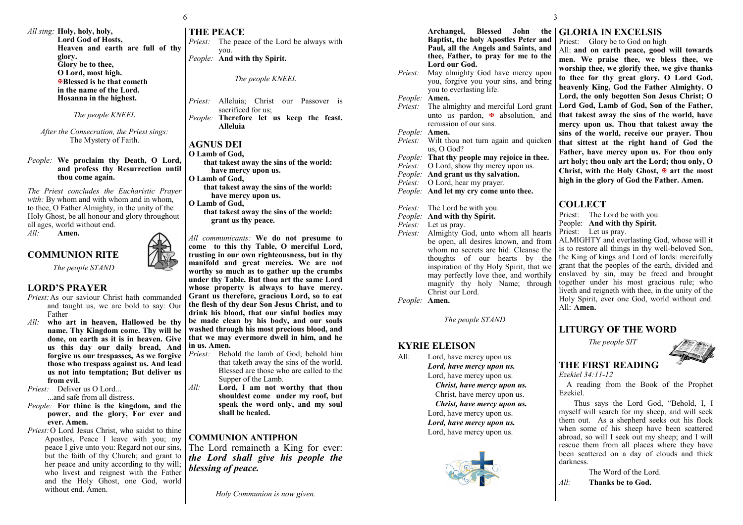*All sing:* **Holy, holy, holy, Lord God of Hosts, Heaven and earth are full of thy glory. Glory be to thee, O Lord, most high. Blessed is he that cometh in the name of the Lord. Hosanna in the highest.**

#### *The people KNEEL*

*After the Consecration, the Priest sings:* The Mystery of Faith.

#### *People:* **We proclaim thy Death, O Lord, and profess thy Resurrection until thou come again.**

*The Priest concludes the Eucharistic Prayer with*: By whom and with whom and in whom. to thee, O Father Almighty, in the unity of the Holy Ghost, be all honour and glory throughout all ages, world without end.

*All:* **Amen.**

#### **COMMUNION RITE**

*The people STAND*

#### **LORD'S PRAYER**

- *Priest:*As our saviour Christ hath commanded and taught us, we are bold to say: Our Father
- *All:* **who art in heaven, Hallowed be thy name. Thy Kingdom come. Thy will be done, on earth as it is in heaven. Give us this day our daily bread, And forgive us our trespasses, As we forgive those who trespass against us. And lead us not into temptation; But deliver us from evil.**

*Priest:* Deliver us O Lord... ...and safe from all distress.

- *People:* **For thine is the kingdom, and the power, and the glory, For ever and ever. Amen.**
- *Priest:*O Lord Jesus Christ, who saidst to thine Apostles, Peace I leave with you; my peace I give unto you: Regard not our sins, but the faith of thy Church; and grant to her peace and unity according to thy will; who livest and reignest with the Father and the Holy Ghost, one God, world without end. Amen.

## **THE PEACE**

*Priest:* The peace of the Lord be always with you.

*People:* **And with thy Spirit.**

*The people KNEEL*

*Priest:* Alleluia; Christ our Passover is sacrificed for us: *People:* **Therefore let us keep the feast. Alleluia**

#### **AGNUS DEI**

**O Lamb of God, that takest away the sins of the world: have mercy upon us. O Lamb of God, that takest away the sins of the world: have mercy upon us. O Lamb of God, that takest away the sins of the world: grant us thy peace.**

*All communicants:* **We do not presume to come to this thy Table, O merciful Lord, trusting in our own righteousness, but in thy manifold and great mercies. We are not worthy so much as to gather up the crumbs under thy Table. But thou art the same Lord whose property is always to have mercy. Grant us therefore, gracious Lord, so to eat the flesh of thy dear Son Jesus Christ, and to drink his blood, that our sinful bodies may be made clean by his body, and our souls washed through his most precious blood, and that we may evermore dwell in him, and he in us. Amen.**

- *Priest:* Behold the lamb of God; behold him that taketh away the sins of the world. Blessed are those who are called to the Supper of the Lamb.
- *All:* **Lord, I am not worthy that thou shouldest come under my roof, but speak the word only, and my soul shall be healed.**

**COMMUNION ANTIPHON**

The Lord remaineth a King for ever: *the Lord shall give his people the blessing of peace.* 

#### Archangel, Blessed John **GLORIA IN EXCELSIS**

3

**Baptist, the holy Apostles Peter and Paul, all the Angels and Saints, and thee, Father, to pray for me to the** 

you, forgive you your sins, and bring

**Lord our God.**

*People:* **Amen.**

*People:* **Amen.**

*Priest:* May almighty God have mercy upon

*Priest:* The almighty and merciful Lord grant unto us pardon.  $\mathbb F$  absolution, and

*Priest:* Wilt thou not turn again and quicker

*People:* **That thy people may rejoice in thee.** *Priest:* O Lord, show thy mercy upon us. *People:* **And grant us thy salvation.** *Priest:* O Lord, hear my prayer. *People:* **And let my cry come unto thee.**

*Priest:* Almighty God, unto whom all hearts be open, all desires known, and from whom no secrets are hid: Cleanse the thoughts of our hearts by the inspiration of thy Holy Spirit, that we may perfectly love thee, and worthily magnify thy holy Name; through

*The people STAND*

*Lord, have mercy upon us.* Lord, have mercy upon us. *Christ, have mercy upon us.* Christ, have mercy upon us. *Christ, have mercy upon us.* Lord, have mercy upon us. *Lord, have mercy upon us.* Lord, have mercy upon us.

you to everlasting life.

remission of our sins.

us, O God?

*Priest:* The Lord be with you. *People:* **And with thy Spirit.**

Christ our Lord.

All: Lord, have mercy upon us.

*Priest:* Let us pray.

*People:* **Amen.**

**KYRIE ELEISON**

Priest: Glory be to God on high

All: **and on earth peace, good will towards men. We praise thee, we bless thee, we worship thee, we glorify thee, we give thanks to thee for thy great glory. O Lord God, heavenly King, God the Father Almighty. O Lord, the only begotten Son Jesus Christ; O Lord God, Lamb of God, Son of the Father, that takest away the sins of the world, have mercy upon us. Thou that takest away the sins of the world, receive our prayer. Thou that sittest at the right hand of God the Father, have mercy upon us. For thou only art holy; thou only art the Lord; thou only, O Christ, with the Holy Ghost, art the most high in the glory of God the Father. Amen.**

#### **COLLECT**

Priest: The Lord be with you. People: **And with thy Spirit.** Priest: Let us pray.

ALMIGHTY and everlasting God, whose will it is to restore all things in thy well-beloved Son, the King of kings and Lord of lords: mercifully grant that the peoples of the earth, divided and enslaved by sin, may be freed and brought together under his most gracious rule; who liveth and reigneth with thee, in the unity of the Holy Spirit, ever one God, world without end. All: **Amen.**

**LITURGY OF THE WORD**

*The people SIT*

#### **THE FIRST READING** *Ezekiel 34:11-12*

A reading from the Book of the Prophet Ezekiel.

Thus says the Lord God, "Behold, I, I myself will search for my sheep, and will seek them out. As a shepherd seeks out his flock when some of his sheep have been scattered abroad, so will I seek out my sheep; and I will rescue them from all places where they have been scattered on a day of clouds and thick darkness.

The Word of the Lord.

*All:* **Thanks be to God.**